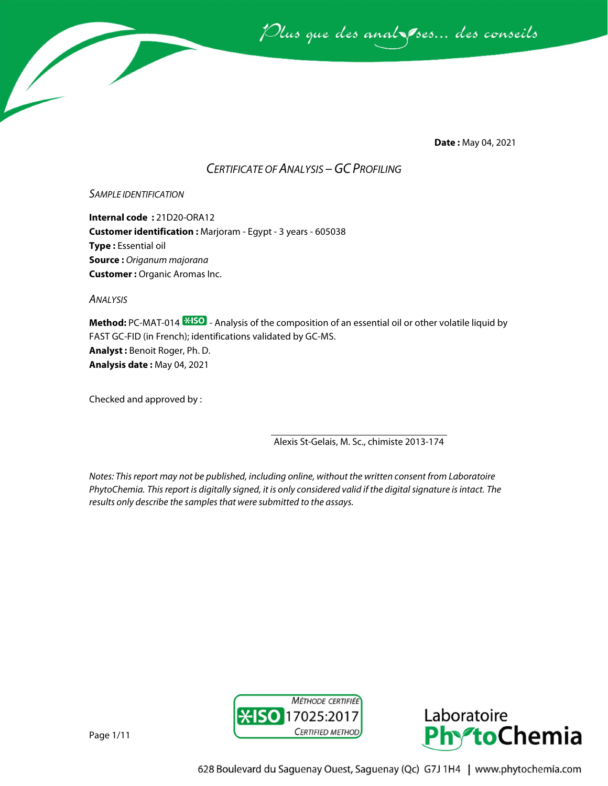

**Date :** May 04, 2021

## *CERTIFICATE OF ANALYSIS –GC PROFILING*

## *SAMPLE IDENTIFICATION*

**Internal code :** 21D20-ORA12 **Customer identification :** Marjoram - Egypt - 3 years - 605038 **Type :** Essential oil **Source :** *Origanum majorana* **Customer :** Organic Aromas Inc.

*ANALYSIS*

**Method:** PC-MAT-014  $\frac{1250}{12}$  - Analysis of the composition of an essential oil or other volatile liquid by FAST GC-FID (in French); identifications validated by GC-MS. **Analyst :** Benoit Roger, Ph. D. **Analysis date :** May 04, 2021

Checked and approved by :

Alexis St-Gelais, M. Sc., chimiste 2013-174

*Notes: This report may not be published, including online, without the written consent from Laboratoire PhytoChemia. This report is digitally signed, it is only considered valid if the digital signature is intact. The results only describe the samples that were submitted to the assays.*





Page 1/11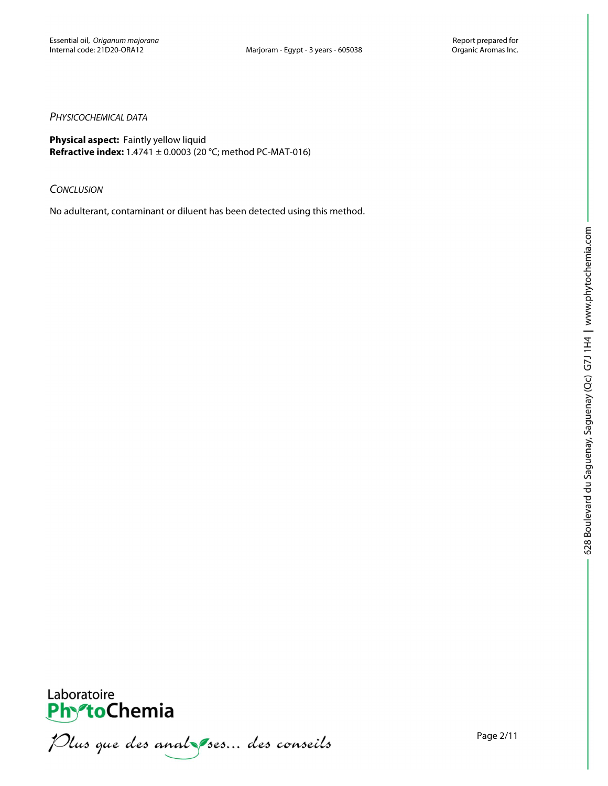## *PHYSICOCHEMICAL DATA*

**Physical aspect:** Faintly yellow liquid **Refractive index:** 1.4741 ± 0.0003 (20 °C; method PC-MAT-016)

### *CONCLUSION*

No adulterant, contaminant or diluent has been detected using this method.





**PhytoChemia**<br>*PhytoChemia*<br>*Plus que des analyses... des conseils*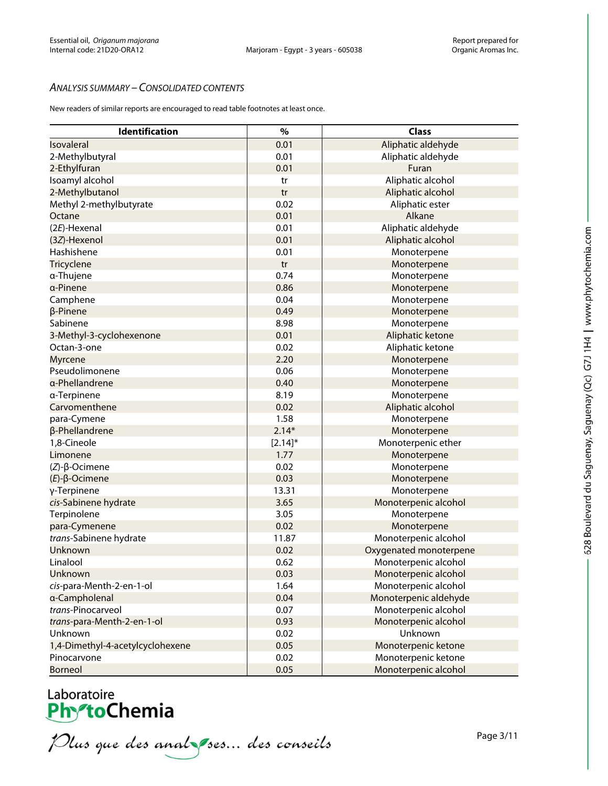## *ANALYSIS SUMMARY – CONSOLIDATED CONTENTS*

New readers of similar reports are encouraged to read table footnotes at least once.

| Identification                   | $\%$       | <b>Class</b>           |
|----------------------------------|------------|------------------------|
| Isovaleral                       | 0.01       | Aliphatic aldehyde     |
| 2-Methylbutyral                  | 0.01       | Aliphatic aldehyde     |
| 2-Ethylfuran                     | 0.01       | Furan                  |
| Isoamyl alcohol                  | tr         | Aliphatic alcohol      |
| 2-Methylbutanol                  | tr         | Aliphatic alcohol      |
| Methyl 2-methylbutyrate          | 0.02       | Aliphatic ester        |
| Octane                           | 0.01       | Alkane                 |
| (2E)-Hexenal                     | 0.01       | Aliphatic aldehyde     |
| (3Z)-Hexenol                     | 0.01       | Aliphatic alcohol      |
| Hashishene                       | 0.01       | Monoterpene            |
| Tricyclene                       | tr         | Monoterpene            |
| α-Thujene                        | 0.74       | Monoterpene            |
| a-Pinene                         | 0.86       | Monoterpene            |
| Camphene                         | 0.04       | Monoterpene            |
| β-Pinene                         | 0.49       | Monoterpene            |
| Sabinene                         | 8.98       | Monoterpene            |
| 3-Methyl-3-cyclohexenone         | 0.01       | Aliphatic ketone       |
| Octan-3-one                      | 0.02       | Aliphatic ketone       |
| Myrcene                          | 2.20       | Monoterpene            |
| Pseudolimonene                   | 0.06       | Monoterpene            |
| α-Phellandrene                   | 0.40       | Monoterpene            |
| α-Terpinene                      | 8.19       | Monoterpene            |
| Carvomenthene                    | 0.02       | Aliphatic alcohol      |
| para-Cymene                      | 1.58       | Monoterpene            |
| β-Phellandrene                   | $2.14*$    | Monoterpene            |
| 1,8-Cineole                      | $[2.14]$ * | Monoterpenic ether     |
| Limonene                         | 1.77       | Monoterpene            |
| $(Z)-\beta$ -Ocimene             | 0.02       | Monoterpene            |
| $(E)$ -β-Ocimene                 | 0.03       | Monoterpene            |
| γ-Terpinene                      | 13.31      | Monoterpene            |
| cis-Sabinene hydrate             | 3.65       | Monoterpenic alcohol   |
| Terpinolene                      | 3.05       | Monoterpene            |
| para-Cymenene                    | 0.02       | Monoterpene            |
| trans-Sabinene hydrate           | 11.87      | Monoterpenic alcohol   |
| Unknown                          | 0.02       | Oxygenated monoterpene |
| Linalool                         | 0.62       | Monoterpenic alcohol   |
| Unknown                          | 0.03       | Monoterpenic alcohol   |
| cis-para-Menth-2-en-1-ol         | 1.64       | Monoterpenic alcohol   |
| a-Campholenal                    | 0.04       | Monoterpenic aldehyde  |
| trans-Pinocarveol                | 0.07       | Monoterpenic alcohol   |
| trans-para-Menth-2-en-1-ol       | 0.93       | Monoterpenic alcohol   |
| Unknown                          | 0.02       | Unknown                |
| 1,4-Dimethyl-4-acetylcyclohexene | 0.05       | Monoterpenic ketone    |
| Pinocarvone                      | 0.02       | Monoterpenic ketone    |
| <b>Borneol</b>                   | 0.05       | Monoterpenic alcohol   |

Laboratoire<br>PhytoChemia<br>*Plus que des analyses*... *des conseils*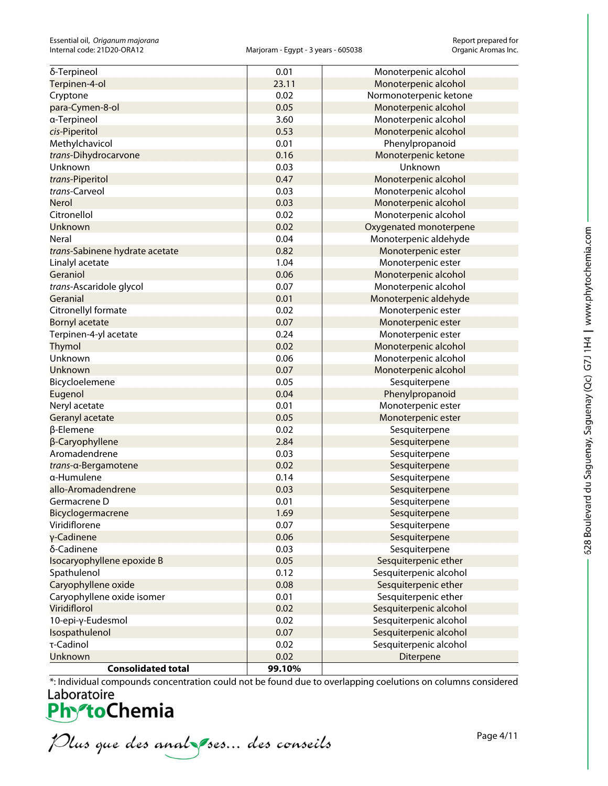| δ-Terpineol                    | 0.01   | Monoterpenic alcohol   |
|--------------------------------|--------|------------------------|
| Terpinen-4-ol                  | 23.11  | Monoterpenic alcohol   |
| Cryptone                       | 0.02   | Normonoterpenic ketone |
| para-Cymen-8-ol                | 0.05   | Monoterpenic alcohol   |
| a-Terpineol                    | 3.60   | Monoterpenic alcohol   |
| cis-Piperitol                  | 0.53   | Monoterpenic alcohol   |
| Methylchavicol                 | 0.01   | Phenylpropanoid        |
| trans-Dihydrocarvone           | 0.16   | Monoterpenic ketone    |
| Unknown                        | 0.03   | Unknown                |
| trans-Piperitol                | 0.47   | Monoterpenic alcohol   |
| trans-Carveol                  | 0.03   | Monoterpenic alcohol   |
| <b>Nerol</b>                   | 0.03   | Monoterpenic alcohol   |
| Citronellol                    | 0.02   | Monoterpenic alcohol   |
| <b>Unknown</b>                 | 0.02   | Oxygenated monoterpene |
| Neral                          | 0.04   | Monoterpenic aldehyde  |
| trans-Sabinene hydrate acetate | 0.82   | Monoterpenic ester     |
| Linalyl acetate                | 1.04   | Monoterpenic ester     |
| Geraniol                       | 0.06   | Monoterpenic alcohol   |
| trans-Ascaridole glycol        | 0.07   | Monoterpenic alcohol   |
| Geranial                       | 0.01   | Monoterpenic aldehyde  |
| Citronellyl formate            | 0.02   | Monoterpenic ester     |
| Bornyl acetate                 | 0.07   | Monoterpenic ester     |
| Terpinen-4-yl acetate          | 0.24   | Monoterpenic ester     |
| <b>Thymol</b>                  | 0.02   | Monoterpenic alcohol   |
| Unknown                        | 0.06   | Monoterpenic alcohol   |
| Unknown                        | 0.07   | Monoterpenic alcohol   |
| Bicycloelemene                 | 0.05   | Sesquiterpene          |
| Eugenol                        | 0.04   | Phenylpropanoid        |
| Neryl acetate                  | 0.01   | Monoterpenic ester     |
| Geranyl acetate                | 0.05   | Monoterpenic ester     |
| β-Elemene                      | 0.02   | Sesquiterpene          |
| β-Caryophyllene                | 2.84   | Sesquiterpene          |
| Aromadendrene                  | 0.03   | Sesquiterpene          |
| trans-α-Bergamotene            | 0.02   | Sesquiterpene          |
| α-Humulene                     | 0.14   | Sesquiterpene          |
| allo-Aromadendrene             | 0.03   | Sesquiterpene          |
| Germacrene D                   | 0.01   | Sesquiterpene          |
| Bicyclogermacrene              | 1.69   | Sesquiterpene          |
| Viridiflorene                  | 0.07   | Sesquiterpene          |
| γ-Cadinene                     | 0.06   | Sesquiterpene          |
| δ-Cadinene                     | 0.03   | Sesquiterpene          |
| Isocaryophyllene epoxide B     | 0.05   | Sesquiterpenic ether   |
| Spathulenol                    | 0.12   | Sesquiterpenic alcohol |
| Caryophyllene oxide            | 0.08   | Sesquiterpenic ether   |
| Caryophyllene oxide isomer     | 0.01   | Sesquiterpenic ether   |
| Viridiflorol                   | 0.02   | Sesquiterpenic alcohol |
| 10-epi-γ-Eudesmol              | 0.02   | Sesquiterpenic alcohol |
| Isospathulenol                 | 0.07   | Sesquiterpenic alcohol |
| τ-Cadinol                      | 0.02   | Sesquiterpenic alcohol |
| Unknown                        | 0.02   | Diterpene              |
| <b>Consolidated total</b>      | 99.10% |                        |

\*: Individual compounds concentration could not be found due to overlapping coelutions on columns considered

Plus que des analzes... des conseils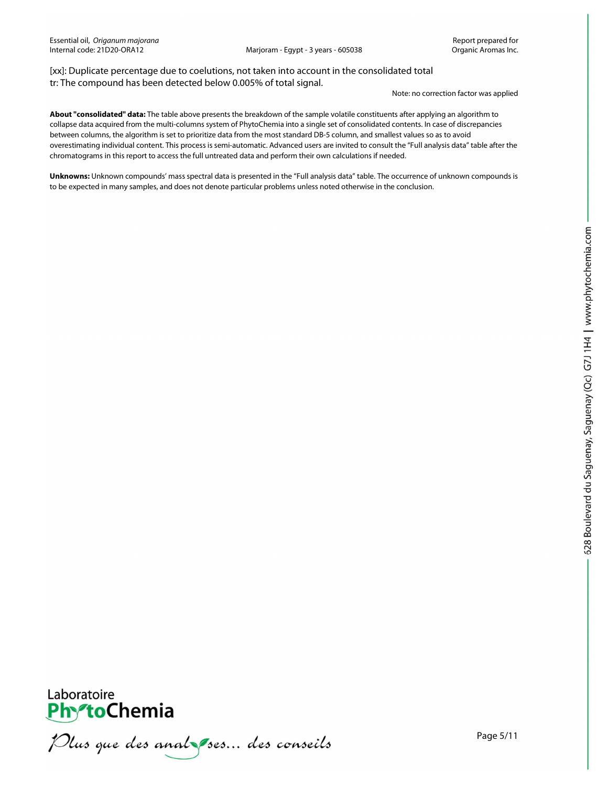[xx]: Duplicate percentage due to coelutions, not taken into account in the consolidated total tr: The compound has been detected below 0.005% of total signal.

Note: no correction factor was applied

**About "consolidated" data:** The table above presents the breakdown of the sample volatile constituents after applying an algorithm to collapse data acquired from the multi-columns system of PhytoChemia into a single set of consolidated contents. In case of discrepancies between columns, the algorithm is set to prioritize data from the most standard DB-5 column, and smallest values so as to avoid overestimating individual content. This process is semi-automatic. Advanced users are invited to consult the "Full analysis data" table after the chromatograms in this report to access the full untreated data and perform their own calculations if needed.

**Unknowns:** Unknown compounds' mass spectral data is presented in the "Full analysis data" table. The occurrence of unknown compounds is to be expected in many samples, and does not denote particular problems unless noted otherwise in the conclusion.



Plus que des analzes... des conseils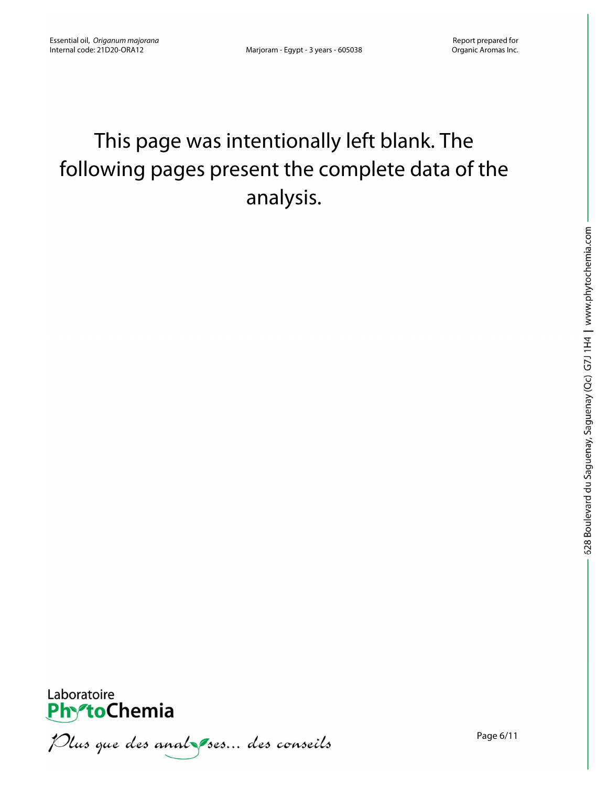## This page was intentionally left blank. The following pages present the complete data of the analysis.



Plus que des anal ses... des conseils

Page 6/11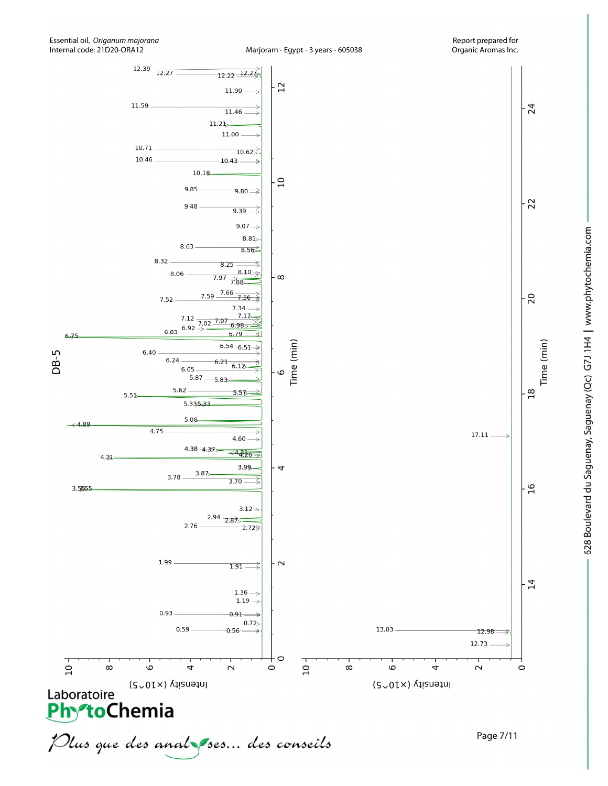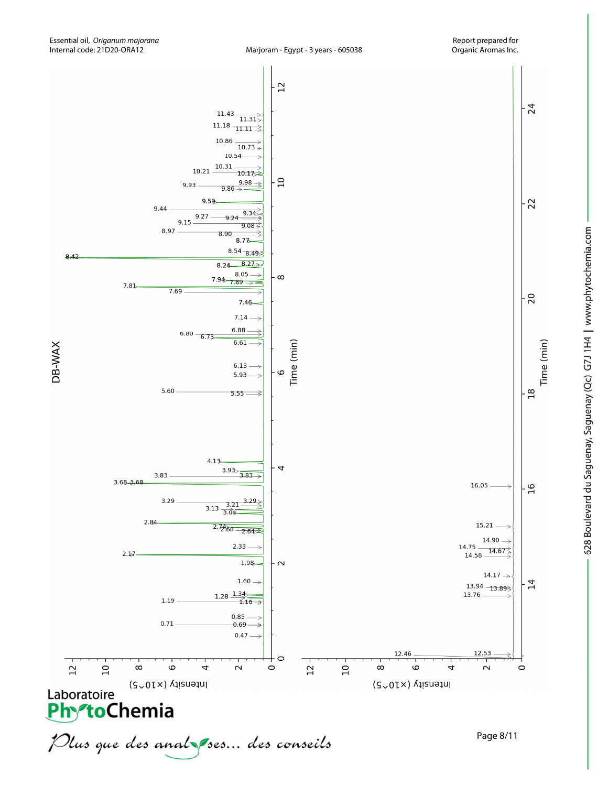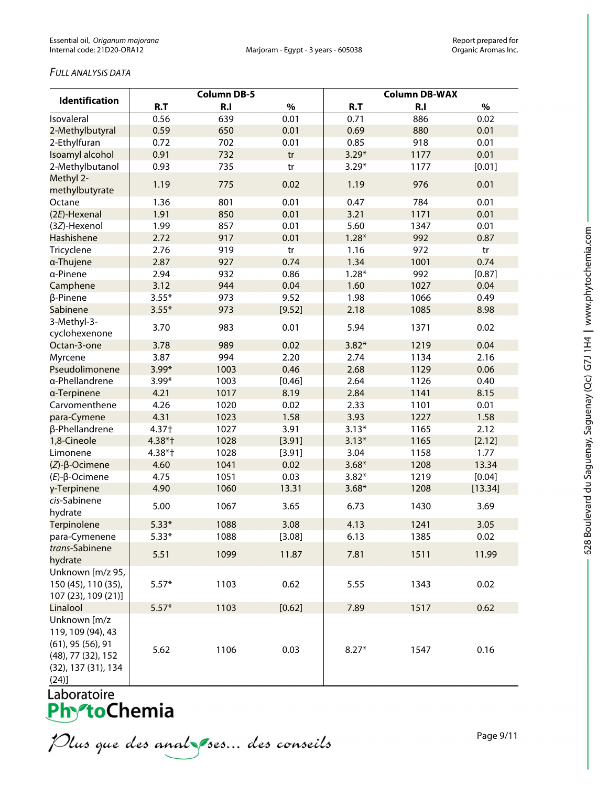## *FULL ANALYSIS DATA*

|                                                                                                           | <b>Column DB-5</b> |      |        | <b>Column DB-WAX</b> |                |         |  |
|-----------------------------------------------------------------------------------------------------------|--------------------|------|--------|----------------------|----------------|---------|--|
| <b>Identification</b>                                                                                     | R.T                | R.I  | $\%$   | R.T                  | R <sub>1</sub> | $\%$    |  |
| Isovaleral                                                                                                | 0.56               | 639  | 0.01   | 0.71                 | 886            | 0.02    |  |
| 2-Methylbutyral                                                                                           | 0.59               | 650  | 0.01   | 0.69                 | 880            | 0.01    |  |
| 2-Ethylfuran                                                                                              | 0.72               | 702  | 0.01   | 0.85                 | 918            | 0.01    |  |
| Isoamyl alcohol                                                                                           | 0.91               | 732  | tr     | $3.29*$              | 1177           | 0.01    |  |
| 2-Methylbutanol                                                                                           | 0.93               | 735  | tr     | $3.29*$              | 1177           | [0.01]  |  |
| Methyl 2-<br>methylbutyrate                                                                               | 1.19               | 775  | 0.02   | 1.19                 | 976            | 0.01    |  |
| Octane                                                                                                    | 1.36               | 801  | 0.01   | 0.47                 | 784            | 0.01    |  |
| (2E)-Hexenal                                                                                              | 1.91               | 850  | 0.01   | 3.21                 | 1171           | 0.01    |  |
| (3Z)-Hexenol                                                                                              | 1.99               | 857  | 0.01   | 5.60                 | 1347           | 0.01    |  |
| Hashishene                                                                                                | 2.72               | 917  | 0.01   | $1.28*$              | 992            | 0.87    |  |
| Tricyclene                                                                                                | 2.76               | 919  | tr     | 1.16                 | 972            | tr      |  |
| a-Thujene                                                                                                 | 2.87               | 927  | 0.74   | 1.34                 | 1001           | 0.74    |  |
| a-Pinene                                                                                                  | 2.94               | 932  | 0.86   | $1.28*$              | 992            | [0.87]  |  |
| Camphene                                                                                                  | 3.12               | 944  | 0.04   | 1.60                 | 1027           | 0.04    |  |
| β-Pinene                                                                                                  | $3.55*$            | 973  | 9.52   | 1.98                 | 1066           | 0.49    |  |
| Sabinene                                                                                                  | $3.55*$            | 973  | [9.52] | 2.18                 | 1085           | 8.98    |  |
| 3-Methyl-3-<br>cyclohexenone                                                                              | 3.70               | 983  | 0.01   | 5.94                 | 1371           | 0.02    |  |
| Octan-3-one                                                                                               | 3.78               | 989  | 0.02   | $3.82*$              | 1219           | 0.04    |  |
| Myrcene                                                                                                   | 3.87               | 994  | 2.20   | 2.74                 | 1134           | 2.16    |  |
| Pseudolimonene                                                                                            | $3.99*$            | 1003 | 0.46   | 2.68                 | 1129           | 0.06    |  |
| a-Phellandrene                                                                                            | $3.99*$            | 1003 | [0.46] | 2.64                 | 1126           | 0.40    |  |
| a-Terpinene                                                                                               | 4.21               | 1017 | 8.19   | 2.84                 | 1141           | 8.15    |  |
| Carvomenthene                                                                                             | 4.26               | 1020 | 0.02   | 2.33                 | 1101           | 0.01    |  |
| para-Cymene                                                                                               | 4.31               | 1023 | 1.58   | 3.93                 | 1227           | 1.58    |  |
| β-Phellandrene                                                                                            | 4.37†              | 1027 | 3.91   | $3.13*$              | 1165           | 2.12    |  |
| 1,8-Cineole                                                                                               | 4.38*†             | 1028 | [3.91] | $3.13*$              | 1165           | [2.12]  |  |
| Limonene                                                                                                  | $4.38*$ †          | 1028 | [3.91] | 3.04                 | 1158           | 1.77    |  |
| $(Z)$ - $\beta$ -Ocimene                                                                                  | 4.60               | 1041 | 0.02   | $3.68*$              | 1208           | 13.34   |  |
| $(E)-\beta$ -Ocimene                                                                                      | 4.75               | 1051 | 0.03   | $3.82*$              | 1219           | [0.04]  |  |
| γ-Terpinene                                                                                               | 4.90               | 1060 | 13.31  | $3.68*$              | 1208           | [13.34] |  |
| cis-Sabinene<br>hydrate                                                                                   | 5.00               | 1067 | 3.65   | 6.73                 | 1430           | 3.69    |  |
| Terpinolene                                                                                               | $5.33*$            | 1088 | 3.08   | 4.13                 | 1241           | 3.05    |  |
| para-Cymenene                                                                                             | $5.33*$            | 1088 | [3.08] | 6.13                 | 1385           | 0.02    |  |
| trans-Sabinene<br>hydrate                                                                                 | 5.51               | 1099 | 11.87  | 7.81                 | 1511           | 11.99   |  |
| Unknown [m/z 95,<br>150 (45), 110 (35),<br>107 (23), 109 (21)]                                            | $5.57*$            | 1103 | 0.62   | 5.55                 | 1343           | 0.02    |  |
| Linalool                                                                                                  | $5.57*$            | 1103 | [0.62] | 7.89                 | 1517           | 0.62    |  |
| Unknown [m/z<br>119, 109 (94), 43<br>$(61)$ , 95 $(56)$ , 91<br>(48), 77 (32), 152<br>(32), 137 (31), 134 | 5.62               | 1106 | 0.03   | $8.27*$              | 1547           | 0.16    |  |
| (24)]                                                                                                     |                    |      |        |                      |                |         |  |

Laboratoire<br>**Phy<sup>s</sup>toChemia** 

Plus que des analzes... des conseils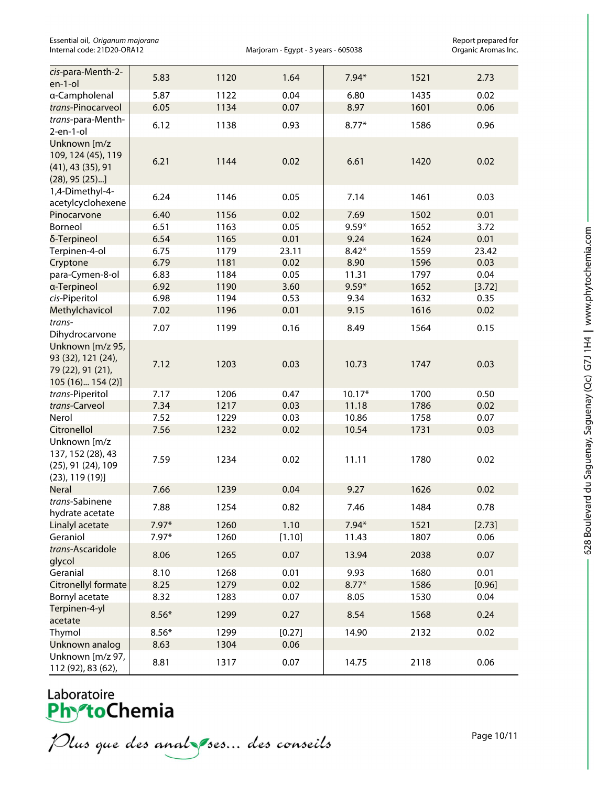Essential oil, *Origanum majorana*<br>1971 - Internal code: 21D20-ORA12 **Report proportional code:** 21D20-ORA12 - And Compass Marjoram - Egypt - 3 years - 605038

Marjoram - Egypt - 3 years - 605038

| cis-para-Menth-2-<br>en-1-ol                                                          | 5.83            | 1120         | 1.64           | $7.94*$      | 1521 | 2.73         |
|---------------------------------------------------------------------------------------|-----------------|--------------|----------------|--------------|------|--------------|
| a-Campholenal                                                                         | 5.87            | 1122         | 0.04           | 6.80         | 1435 | 0.02         |
| trans-Pinocarveol                                                                     | 6.05            | 1134         | 0.07           | 8.97         | 1601 | 0.06         |
| trans-para-Menth-<br>$2$ -en-1-ol                                                     | 6.12            | 1138         | 0.93           | $8.77*$      | 1586 | 0.96         |
| Unknown [m/z<br>109, 124 (45), 119<br>$(41)$ , 43 $(35)$ , 91<br>$(28)$ , 95 $(25)$ ] | 6.21            | 1144         | 0.02           | 6.61         | 1420 | 0.02         |
| 1,4-Dimethyl-4-<br>acetylcyclohexene                                                  | 6.24            | 1146         | 0.05           | 7.14         | 1461 | 0.03         |
| Pinocarvone                                                                           | 6.40            | 1156         | 0.02           | 7.69         | 1502 | 0.01         |
| Borneol                                                                               | 6.51            | 1163         | 0.05           | $9.59*$      | 1652 | 3.72         |
| δ-Terpineol                                                                           | 6.54            | 1165         | 0.01           | 9.24         | 1624 | 0.01         |
| Terpinen-4-ol                                                                         | 6.75            | 1179         | 23.11          | $8.42*$      | 1559 | 23.42        |
| Cryptone                                                                              | 6.79            | 1181         | 0.02           | 8.90         | 1596 | 0.03         |
| para-Cymen-8-ol                                                                       | 6.83            | 1184         | 0.05           | 11.31        | 1797 | 0.04         |
| a-Terpineol                                                                           | 6.92            | 1190         | 3.60           | $9.59*$      | 1652 | [3.72]       |
| cis-Piperitol                                                                         | 6.98            | 1194         | 0.53           | 9.34         | 1632 | 0.35         |
| Methylchavicol                                                                        | 7.02            | 1196         | 0.01           | 9.15         | 1616 | 0.02         |
|                                                                                       |                 |              |                |              |      |              |
| trans-<br>Dihydrocarvone                                                              | 7.07            | 1199         | 0.16           | 8.49         | 1564 | 0.15         |
| Unknown [m/z 95,<br>93 (32), 121 (24),<br>79 (22), 91 (21),<br>105 (16) 154 (2)]      | 7.12            | 1203         | 0.03           | 10.73        | 1747 | 0.03         |
| trans-Piperitol                                                                       | 7.17            | 1206         | 0.47           | $10.17*$     | 1700 | 0.50         |
| trans-Carveol                                                                         | 7.34            | 1217         | 0.03           | 11.18        | 1786 | 0.02         |
| Nerol                                                                                 | 7.52            | 1229         | 0.03           | 10.86        | 1758 | 0.07         |
| Citronellol                                                                           | 7.56            | 1232         | 0.02           | 10.54        | 1731 | 0.03         |
| Unknown [m/z<br>137, 152 (28), 43<br>(25), 91 (24), 109<br>$(23)$ , 119 $(19)$ ]      | 7.59            | 1234         | 0.02           | 11.11        | 1780 | 0.02         |
| <b>Neral</b>                                                                          | 7.66            | 1239         | 0.04           | 9.27         | 1626 | 0.02         |
| trans-Sabinene<br>hydrate acetate                                                     | 7.88            | 1254         | 0.82           | 7.46         | 1484 | 0.78         |
| Linalyl acetate                                                                       | $7.97*$         | 1260         | 1.10           | $7.94*$      | 1521 | [2.73]       |
| Geraniol                                                                              | $7.97*$         | 1260         | [1.10]         | 11.43        | 1807 | 0.06         |
| trans-Ascaridole<br>glycol                                                            | 8.06            | 1265         | 0.07           | 13.94        | 2038 | 0.07         |
| Geranial                                                                              | 8.10            | 1268         | 0.01           | 9.93         | 1680 | 0.01         |
|                                                                                       | 8.25            | 1279         | 0.02           | $8.77*$      | 1586 | [0.96]       |
| Citronellyl formate                                                                   |                 |              |                |              | 1530 |              |
| Bornyl acetate<br>Terpinen-4-yl<br>acetate                                            | 8.32<br>$8.56*$ | 1283<br>1299 | 0.07<br>0.27   | 8.05<br>8.54 | 1568 | 0.04<br>0.24 |
|                                                                                       |                 |              |                |              |      |              |
| Thymol<br>Unknown analog                                                              | $8.56*$<br>8.63 | 1299<br>1304 | [0.27]<br>0.06 | 14.90        | 2132 | 0.02         |
| Unknown [m/z 97,<br>112 (92), 83 (62),                                                | 8.81            | 1317         | 0.07           | 14.75        | 2118 | 0.06         |

# Laboratoire<br>**Phy<sup>o</sup>toChemia**

Plus que des analzes... des conseils